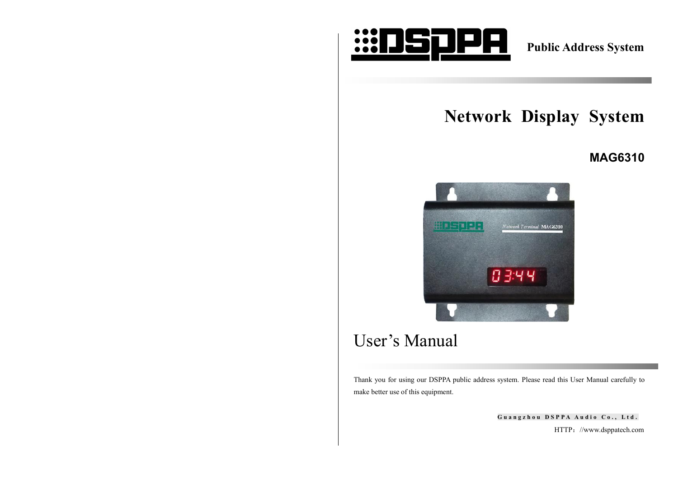

**Public Address System**

# **Network Display System**

## **MAG6310**



# User's Manual

Thank you for using our DSPPA public address system. Please read this User Manual carefully to make better use of this equipment.

> Guangzhou DSPPA Audio Co., Ltd. HTTP://www.dsppatech.com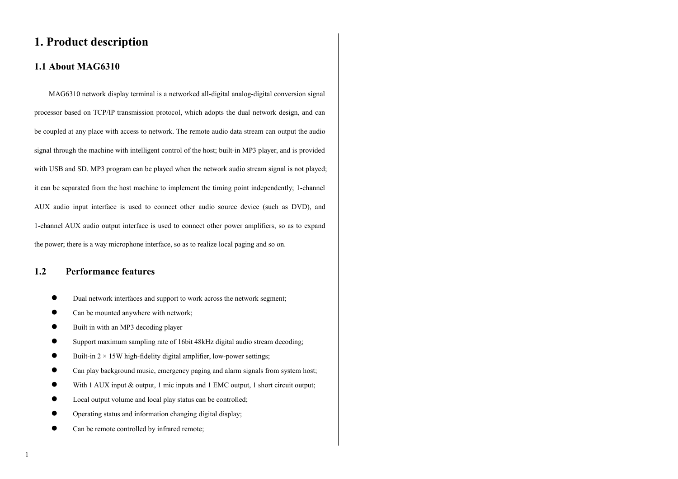## **1. Product description**

## **1.1 About MAG6310**

MAG6310 network display terminal is a networked all-digital analog-digital conversion signal processor based on TCP/IP transmission protocol, which adopts the dual network design, and can be coupled at any place with access to network. The remote audio data stream can output the audio signal through the machine with intelligent control of the host; built-in MP3 player, and is provided with USB and SD. MP3 program can be played when the network audio stream signal is not played; it can be separated from the host machine to implement the timing point independently; 1-channel AUX audio input interface is used to connect other audio source device (such as DVD), and 1-channel AUX audio output interface is used to connect other power amplifiers, so as to expand the power; there is a way microphone interface, so as to realize local paging and so on.

## **1.2 Performance features**

- Dual network interfaces and support to work across the network segment;
- Can be mounted anywhere with network;
- Built in with an MP3 decoding player
- Support maximum sampling rate of 16bit 48kHz digital audio stream decoding;
- $\bullet$  Built-in 2 × 15W high-fidelity digital amplifier, low-power settings;
- Can play background music, emergency paging and alarm signals from system host;
- With 1 AUX input & output, 1 mic inputs and 1 EMC output, 1 short circuit output;
- Local output volume and local play status can be controlled;
- Operating status and information changing digital display;
- Can be remote controlled by infrared remote;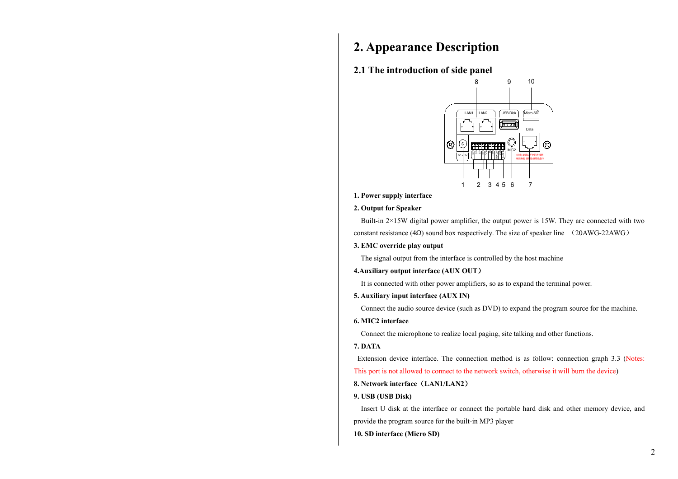# **2. Appearance Description**

### **2.1 The introduction of side panel**



**1. Power supply interface**

#### **2. Output for Speaker**

Built-in 2×15W digital power amplifier, the output power is 15W. They are connected with two constant resistance (4 $\Omega$ ) sound box respectively. The size of speaker line (20AWG-22AWG)

**3. EMC override play output**

The signal output from the interface is controlled by the host machine

**4.Auxiliary output interface (AUX OUT**)

It is connected with other power amplifiers, so as to expand the terminal power.

#### **5. Auxiliary input interface (AUX IN)**

Connect the audio source device (such as DVD) to expand the program source for the machine.

#### **6. MIC2 interface**

Connect the microphone to realize local paging, site talking and other functions.

#### **7. DATA**

Extension device interface. The connection method is as follow: connection graph 3.3 (Notes:

This port is not allowed to connect to the network switch, otherwise it will burn the device)

#### **8. Network interface**(**LAN1/LAN2**)

#### **9. USB (USB Disk)**

Insert U disk at the interface or connect the portable hard disk and other memory device, and provide the program source for the built-in MP3 player

#### **10. SD interface (Micro SD)**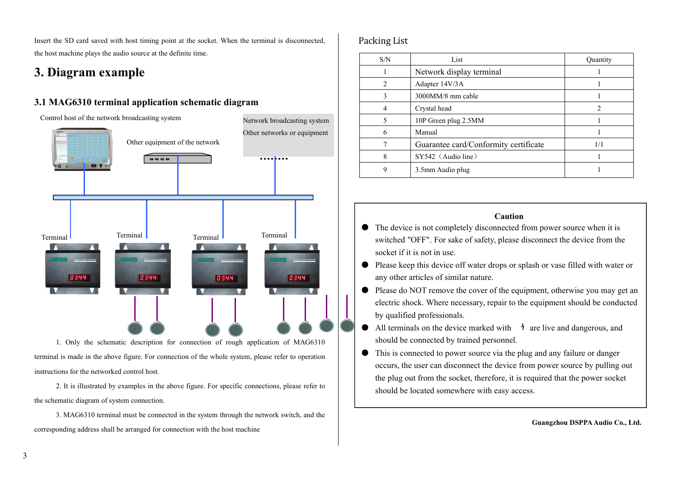Insert the SD card saved with host timing point at the socket. When the terminal is disconnected, the host machine plays the audio source at the definite time.

# **3. Diagram example**

## **3.1 MAG6310 terminal application schematic diagram**



1. Only the schematic description for connection of rough application of MAG6310 terminal is made in the above figure. For connection of the whole system, please refer to operation instructions for the networked control host.

2. It is illustrated by examples in the above figure. For specific connections, please refer to the schematic diagram of system connection.

3. MAG6310 terminal must be connected in the system through the network switch, and the corresponding address shall be arranged for connection with the host machine

## Packing List

| S/N            | List                                  | Quantity |
|----------------|---------------------------------------|----------|
|                | Network display terminal              |          |
| $\overline{c}$ | Adapter 14V/3A                        |          |
| 3              | 3000MM/8 mm cable                     |          |
| 4              | Crystal head                          |          |
| 5              | 10P Green plug 2.5MM                  |          |
| 6              | Manual                                |          |
|                | Guarantee card/Conformity certificate | 1/1      |
| 8              | $SY542$ (Audio line)                  |          |
| 9              | 3.5mm Audio plug                      |          |

### **Caution**

- The device is not completely disconnected from power source when it is switched "OFF". For sake of safety, please disconnect the device from the socket if it is not in use.
- Please keep this device off water drops or splash or vase filled with water or any other articles of similar nature.
- Please do NOT remove the cover of the equipment, otherwise you may get an electric shock. Where necessary, repair to the equipment should be conducted by qualified professionals.
- $\bullet$  All terminals on the device marked with  $\frac{1}{7}$  are live and dangerous, and should be connected by trained personnel.
- This is connected to power source via the plug and any failure or danger occurs, the user can disconnect the device from power source by pulling out the plug out from the socket, therefore, it is required that the power socket should be located somewhere with easy access.

**Guangzhou DSPPAAudio Co., Ltd.**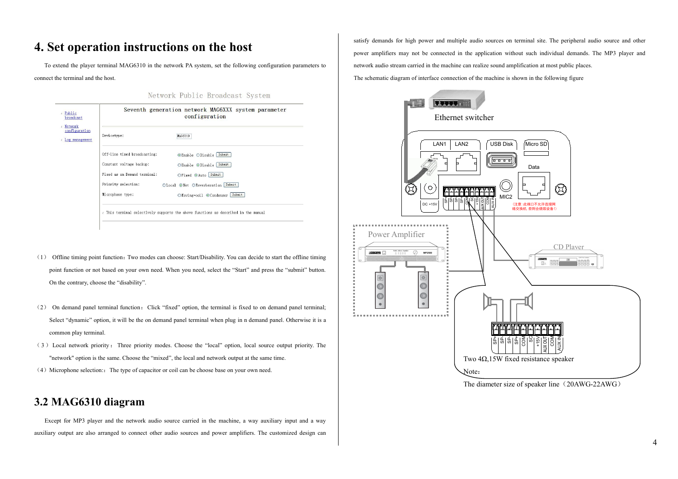# **4. Set operation instructions on the host**

To extend the player terminal MAG6310 in the network PA system, set the following configuration parameters to connect the terminal and the host.

Network Public Broadcast System

| Seventh generation network MAG6XXX system parameter<br>configuration |                                   |
|----------------------------------------------------------------------|-----------------------------------|
| Devicetype:                                                          | MAG 6310                          |
| Off-line timed broadcasting:                                         | <b>⊙Enable ODisable Submit</b>    |
| Constant voltage backup:                                             | OEnable ODisable Submit           |
| Fixed as on Demand terminal:                                         | ○Fixed ⊙Auto Submit               |
| Priority selection:                                                  | OLocal @Net OReverberation Submit |
| Microphone type:                                                     | OMoving-coil @Condenser Submit    |

- $(1)$  Offline timing point function: Two modes can choose: Start/Disability. You can decide to start the offline timing point function or not based on your own need. When you need, select the "Start" and press the "submit" button. On the contrary, choose the "disability".
- (2) On demand panel terminal function:Click "fixed" option, the terminal is fixed to on demand panel terminal; Select "dynamic" option, it will be the on demand panel terminal when plug in n demand panel. Otherwise it is a common play terminal.
- ( 3 ) Local network priority : Three priority modes. Choose the "local" option, local source output priority. The "network" option is the same. Choose the "mixed", the local and network output at the same time.
- $(4)$  Microphone selection: The type of capacitor or coil can be choose base on your own need.

## **3.2 MAG6310 diagram**

Except for MP3 player and the network audio source carried in the machine, a way auxiliary input and a way auxiliary output are also arranged to connect other audio sources and power amplifiers. The customized design can satisfy demands for high power and multiple audio sources on terminal site. The peripheral audio source and other power amplifiers may not be connected in the application without such individual demands. The MP3 player and network audio stream carried in the machine can realize sound amplification at most public places. The schematic diagram of interface connection of the machine isshown in the following figure



The diameter size of speaker line (20AWG-22AWG)